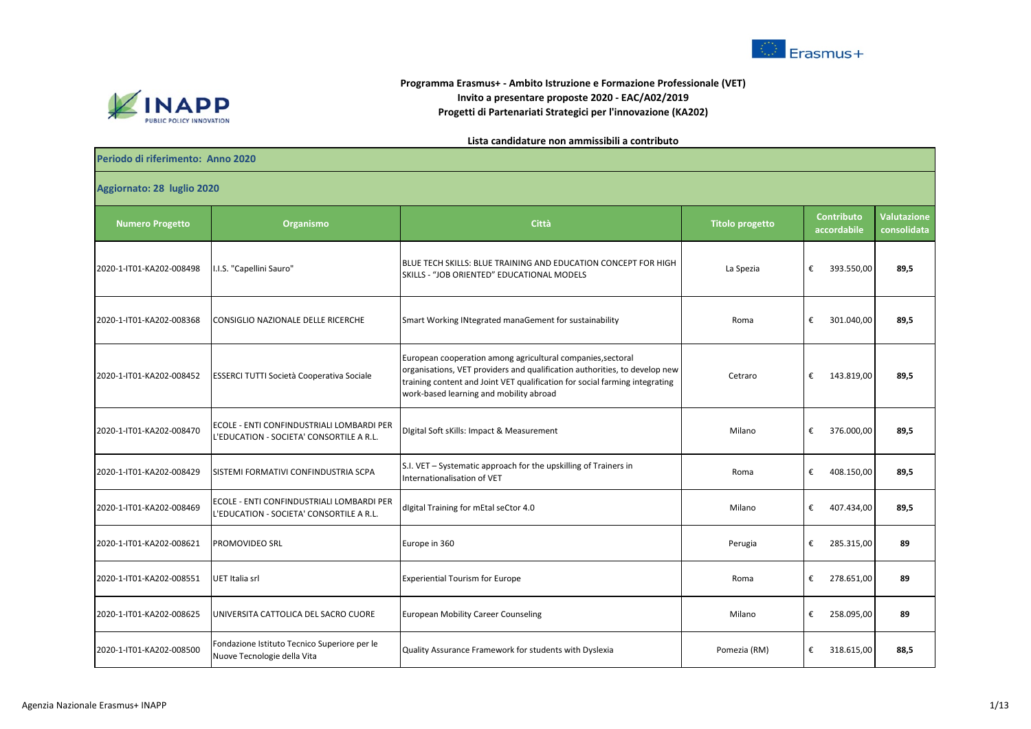



## **Programma Erasmus+ - Ambito Istruzione e Formazione Professionale (VET) Invito a presentare proposte 2020 - EAC/A02/2019 Progetti di Partenariati Strategici per l'innovazione (KA202)**

## **Lista candidature non ammissibili a contributo**

## **Periodo di riferimento: Anno 2020**

**Aggiornato: 28 luglio 2020**

| Aggiornato. Zo Tuglio Zuzu |                                                                                       |                                                                                                                                                                                                                                                                     |                        |                                  |                                   |  |  |  |
|----------------------------|---------------------------------------------------------------------------------------|---------------------------------------------------------------------------------------------------------------------------------------------------------------------------------------------------------------------------------------------------------------------|------------------------|----------------------------------|-----------------------------------|--|--|--|
| <b>Numero Progetto</b>     | Organismo                                                                             | Città                                                                                                                                                                                                                                                               | <b>Titolo progetto</b> | <b>Contributo</b><br>accordabile | <b>Valutazione</b><br>consolidata |  |  |  |
| 2020-1-IT01-KA202-008498   | I.I.S. "Capellini Sauro"                                                              | BLUE TECH SKILLS: BLUE TRAINING AND EDUCATION CONCEPT FOR HIGH<br>SKILLS - "JOB ORIENTED" EDUCATIONAL MODELS                                                                                                                                                        | La Spezia              | €<br>393.550,00                  | 89,5                              |  |  |  |
| 2020-1-IT01-KA202-008368   | CONSIGLIO NAZIONALE DELLE RICERCHE                                                    | Smart Working INtegrated manaGement for sustainability                                                                                                                                                                                                              | Roma                   | €<br>301.040,00                  | 89,5                              |  |  |  |
| 2020-1-IT01-KA202-008452   | ESSERCI TUTTI Società Cooperativa Sociale                                             | European cooperation among agricultural companies, sectoral<br>organisations, VET providers and qualification authorities, to develop new<br>training content and Joint VET qualification for social farming integrating<br>work-based learning and mobility abroad | Cetraro                | €<br>143.819,00                  | 89,5                              |  |  |  |
| 2020-1-IT01-KA202-008470   | ECOLE - ENTI CONFINDUSTRIALI LOMBARDI PER<br>L'EDUCATION - SOCIETA' CONSORTILE A R.L. | Digital Soft sKills: Impact & Measurement                                                                                                                                                                                                                           | Milano                 | €<br>376.000,00                  | 89,5                              |  |  |  |
| 2020-1-IT01-KA202-008429   | SISTEMI FORMATIVI CONFINDUSTRIA SCPA                                                  | S.I. VET - Systematic approach for the upskilling of Trainers in<br>Internationalisation of VET                                                                                                                                                                     | Roma                   | €<br>408.150,00                  | 89,5                              |  |  |  |
| 2020-1-IT01-KA202-008469   | ECOLE - ENTI CONFINDUSTRIALI LOMBARDI PER<br>L'EDUCATION - SOCIETA' CONSORTILE A R.L. | digital Training for mEtal seCtor 4.0                                                                                                                                                                                                                               | Milano                 | €<br>407.434,00                  | 89,5                              |  |  |  |
| 2020-1-IT01-KA202-008621   | PROMOVIDEO SRL                                                                        | Europe in 360                                                                                                                                                                                                                                                       | Perugia                | €<br>285.315,00                  | 89                                |  |  |  |
| 2020-1-IT01-KA202-008551   | UET Italia srl                                                                        | <b>Experiential Tourism for Europe</b>                                                                                                                                                                                                                              | Roma                   | €<br>278.651,00                  | 89                                |  |  |  |
| 2020-1-IT01-KA202-008625   | UNIVERSITA CATTOLICA DEL SACRO CUORE                                                  | <b>European Mobility Career Counseling</b>                                                                                                                                                                                                                          | Milano                 | €<br>258.095,00                  | 89                                |  |  |  |
| 2020-1-IT01-KA202-008500   | Fondazione Istituto Tecnico Superiore per le<br>Nuove Tecnologie della Vita           | Quality Assurance Framework for students with Dyslexia                                                                                                                                                                                                              | Pomezia (RM)           | €<br>318.615,00                  | 88,5                              |  |  |  |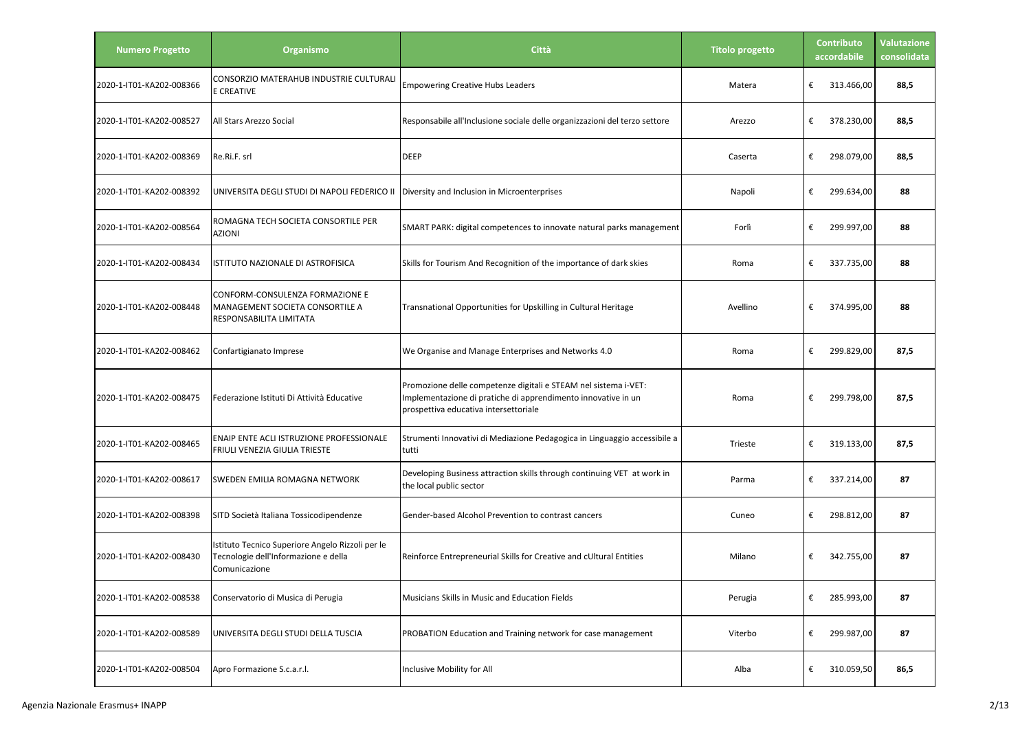| <b>Numero Progetto</b>   | Organismo                                                                                                 | Città                                                                                                                                                                     | <b>Titolo progetto</b> | <b>Contributo</b><br>accordabile | <b>Valutazione</b><br>consolidata |
|--------------------------|-----------------------------------------------------------------------------------------------------------|---------------------------------------------------------------------------------------------------------------------------------------------------------------------------|------------------------|----------------------------------|-----------------------------------|
| 2020-1-IT01-KA202-008366 | CONSORZIO MATERAHUB INDUSTRIE CULTURALI<br>E CREATIVE                                                     | <b>Empowering Creative Hubs Leaders</b>                                                                                                                                   | Matera                 | €<br>313.466,00                  | 88,5                              |
| 2020-1-IT01-KA202-008527 | All Stars Arezzo Social                                                                                   | Responsabile all'Inclusione sociale delle organizzazioni del terzo settore                                                                                                | Arezzo                 | €<br>378.230,00                  | 88,5                              |
| 2020-1-IT01-KA202-008369 | Re.Ri.F. srl                                                                                              | <b>DEEP</b>                                                                                                                                                               | Caserta                | €<br>298.079,00                  | 88,5                              |
| 2020-1-IT01-KA202-008392 | UNIVERSITA DEGLI STUDI DI NAPOLI FEDERICO II                                                              | Diversity and Inclusion in Microenterprises                                                                                                                               | Napoli                 | €<br>299.634,00                  | 88                                |
| 2020-1-IT01-KA202-008564 | ROMAGNA TECH SOCIETA CONSORTILE PER<br><b>AZIONI</b>                                                      | SMART PARK: digital competences to innovate natural parks management                                                                                                      | Forlì                  | €<br>299.997,00                  | 88                                |
| 2020-1-IT01-KA202-008434 | ISTITUTO NAZIONALE DI ASTROFISICA                                                                         | Skills for Tourism And Recognition of the importance of dark skies                                                                                                        | Roma                   | €<br>337.735,00                  | 88                                |
| 2020-1-IT01-KA202-008448 | CONFORM-CONSULENZA FORMAZIONE E<br>MANAGEMENT SOCIETA CONSORTILE A<br>RESPONSABILITA LIMITATA             | Transnational Opportunities for Upskilling in Cultural Heritage                                                                                                           | Avellino               | €<br>374.995,00                  | 88                                |
| 2020-1-IT01-KA202-008462 | Confartigianato Imprese                                                                                   | We Organise and Manage Enterprises and Networks 4.0                                                                                                                       | Roma                   | €<br>299.829,00                  | 87,5                              |
| 2020-1-IT01-KA202-008475 | Federazione Istituti Di Attività Educative                                                                | Promozione delle competenze digitali e STEAM nel sistema i-VET:<br>Implementazione di pratiche di apprendimento innovative in un<br>prospettiva educativa intersettoriale | Roma                   | €<br>299.798,00                  | 87,5                              |
| 2020-1-IT01-KA202-008465 | ENAIP ENTE ACLI ISTRUZIONE PROFESSIONALE<br>FRIULI VENEZIA GIULIA TRIESTE                                 | Strumenti Innovativi di Mediazione Pedagogica in Linguaggio accessibile a<br>tutti                                                                                        | Trieste                | €<br>319.133,00                  | 87,5                              |
| 2020-1-IT01-KA202-008617 | SWEDEN EMILIA ROMAGNA NETWORK                                                                             | Developing Business attraction skills through continuing VET at work in<br>the local public sector                                                                        | Parma                  | €<br>337.214,00                  | 87                                |
| 2020-1-IT01-KA202-008398 | SITD Società Italiana Tossicodipendenze                                                                   | Gender-based Alcohol Prevention to contrast cancers                                                                                                                       | Cuneo                  | €<br>298.812,00                  | 87                                |
| 2020-1-IT01-KA202-008430 | Istituto Tecnico Superiore Angelo Rizzoli per le<br>Tecnologie dell'Informazione e della<br>Comunicazione | Reinforce Entrepreneurial Skills for Creative and cUltural Entities                                                                                                       | Milano                 | €<br>342.755.00                  | 87                                |
| 2020-1-IT01-KA202-008538 | Conservatorio di Musica di Perugia                                                                        | Musicians Skills in Music and Education Fields                                                                                                                            | Perugia                | €<br>285.993,00                  | 87                                |
| 2020-1-IT01-KA202-008589 | UNIVERSITA DEGLI STUDI DELLA TUSCIA                                                                       | PROBATION Education and Training network for case management                                                                                                              | Viterbo                | €<br>299.987,00                  | 87                                |
| 2020-1-IT01-KA202-008504 | Apro Formazione S.c.a.r.l.                                                                                | Inclusive Mobility for All                                                                                                                                                | Alba                   | 310.059,50<br>€                  | 86,5                              |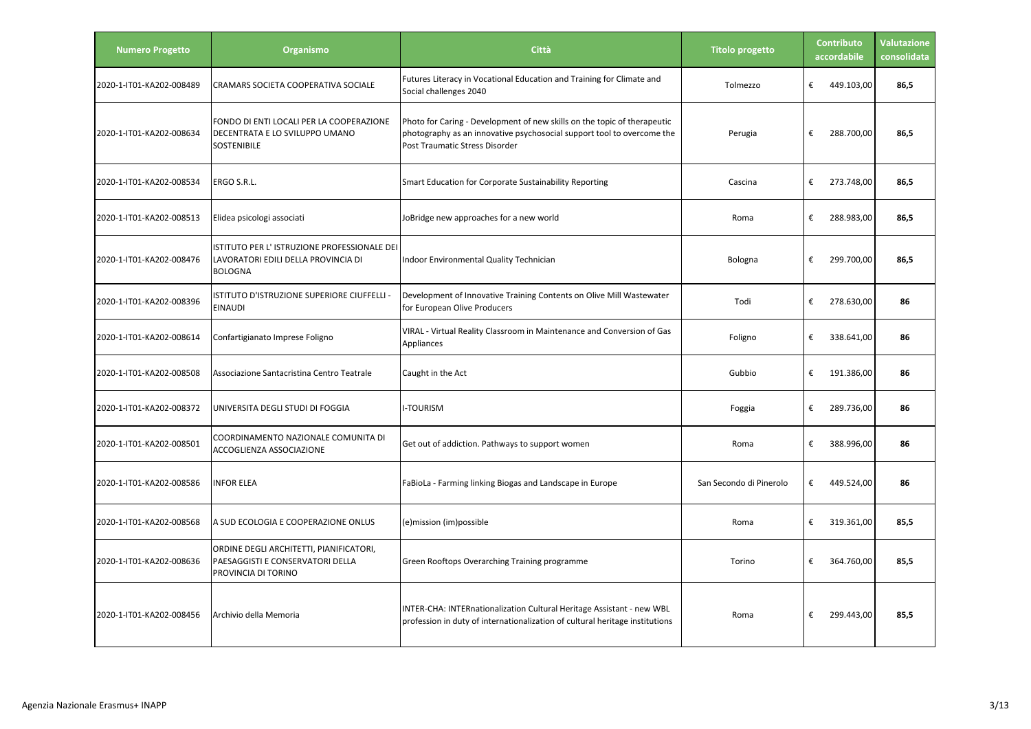| <b>Numero Progetto</b>   | Organismo                                                                                            | <b>Città</b>                                                                                                                                                                                | <b>Titolo progetto</b>  | Contributo<br>accordabile | <b>Valutazione</b><br>consolidata |
|--------------------------|------------------------------------------------------------------------------------------------------|---------------------------------------------------------------------------------------------------------------------------------------------------------------------------------------------|-------------------------|---------------------------|-----------------------------------|
| 2020-1-IT01-KA202-008489 | CRAMARS SOCIETA COOPERATIVA SOCIALE                                                                  | Futures Literacy in Vocational Education and Training for Climate and<br>Social challenges 2040                                                                                             | Tolmezzo                | €<br>449.103,00           | 86,5                              |
| 2020-1-IT01-KA202-008634 | FONDO DI ENTI LOCALI PER LA COOPERAZIONE<br>DECENTRATA E LO SVILUPPO UMANO<br><b>SOSTENIBILE</b>     | Photo for Caring - Development of new skills on the topic of therapeutic<br>photography as an innovative psychosocial support tool to overcome the<br><b>Post Traumatic Stress Disorder</b> | Perugia                 | €<br>288.700,00           | 86,5                              |
| 2020-1-IT01-KA202-008534 | ERGO S.R.L.                                                                                          | Smart Education for Corporate Sustainability Reporting                                                                                                                                      | Cascina                 | €<br>273.748,00           | 86,5                              |
| 2020-1-IT01-KA202-008513 | Elidea psicologi associati                                                                           | JoBridge new approaches for a new world                                                                                                                                                     | Roma                    | €<br>288.983,00           | 86,5                              |
| 2020-1-IT01-KA202-008476 | ISTITUTO PER L'ISTRUZIONE PROFESSIONALE DEI<br>LAVORATORI EDILI DELLA PROVINCIA DI<br><b>BOLOGNA</b> | Indoor Environmental Quality Technician                                                                                                                                                     | Bologna                 | €<br>299.700,00           | 86,5                              |
| 2020-1-IT01-KA202-008396 | ISTITUTO D'ISTRUZIONE SUPERIORE CIUFFELLI -<br><b>EINAUDI</b>                                        | Development of Innovative Training Contents on Olive Mill Wastewater<br>for European Olive Producers                                                                                        | Todi                    | €<br>278.630,00           | 86                                |
| 2020-1-IT01-KA202-008614 | Confartigianato Imprese Foligno                                                                      | VIRAL - Virtual Reality Classroom in Maintenance and Conversion of Gas<br>Appliances                                                                                                        | Foligno                 | €<br>338.641,00           | 86                                |
| 2020-1-IT01-KA202-008508 | Associazione Santacristina Centro Teatrale                                                           | Caught in the Act                                                                                                                                                                           | Gubbio                  | €<br>191.386,00           | 86                                |
| 2020-1-IT01-KA202-008372 | UNIVERSITA DEGLI STUDI DI FOGGIA                                                                     | <b>I-TOURISM</b>                                                                                                                                                                            | Foggia                  | €<br>289.736,00           | 86                                |
| 2020-1-IT01-KA202-008501 | COORDINAMENTO NAZIONALE COMUNITA DI<br>ACCOGLIENZA ASSOCIAZIONE                                      | Get out of addiction. Pathways to support women                                                                                                                                             | Roma                    | €<br>388.996,00           | 86                                |
| 2020-1-IT01-KA202-008586 | <b>INFOR ELEA</b>                                                                                    | FaBioLa - Farming linking Biogas and Landscape in Europe                                                                                                                                    | San Secondo di Pinerolo | €<br>449.524,00           | 86                                |
| 2020-1-IT01-KA202-008568 | A SUD ECOLOGIA E COOPERAZIONE ONLUS                                                                  | (e)mission (im)possible                                                                                                                                                                     | Roma                    | €<br>319.361,00           | 85,5                              |
| 2020-1-IT01-KA202-008636 | ORDINE DEGLI ARCHITETTI, PIANIFICATORI,<br>PAESAGGISTI E CONSERVATORI DELLA<br>PROVINCIA DI TORINO   | Green Rooftops Overarching Training programme                                                                                                                                               | Torino                  | €<br>364.760,00           | 85,5                              |
| 2020-1-IT01-KA202-008456 | Archivio della Memoria                                                                               | INTER-CHA: INTERnationalization Cultural Heritage Assistant - new WBL<br>profession in duty of internationalization of cultural heritage institutions                                       | Roma                    | €<br>299.443,00           | 85,5                              |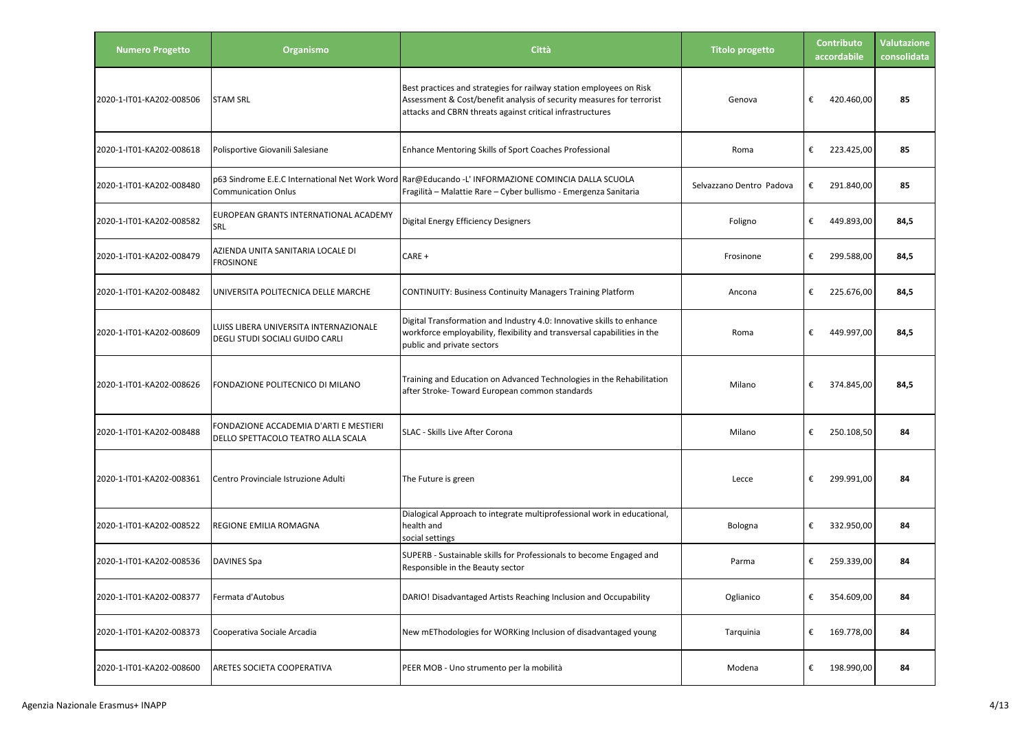| <b>Numero Progetto</b>   | <b>Organismo</b>                                                             | Città                                                                                                                                                                                                     | <b>Titolo progetto</b>   | <b>Contributo</b><br>accordabile | <b>Valutazione</b><br>consolidata |
|--------------------------|------------------------------------------------------------------------------|-----------------------------------------------------------------------------------------------------------------------------------------------------------------------------------------------------------|--------------------------|----------------------------------|-----------------------------------|
| 2020-1-IT01-KA202-008506 | <b>STAM SRL</b>                                                              | Best practices and strategies for railway station employees on Risk<br>Assessment & Cost/benefit analysis of security measures for terrorist<br>attacks and CBRN threats against critical infrastructures | Genova                   | €<br>420.460,00                  | 85                                |
| 2020-1-IT01-KA202-008618 | Polisportive Giovanili Salesiane                                             | Enhance Mentoring Skills of Sport Coaches Professional                                                                                                                                                    | Roma                     | €<br>223.425,00                  | 85                                |
| 2020-1-IT01-KA202-008480 | <b>Communication Onlus</b>                                                   | p63 Sindrome E.E.C International Net Work Word Rar@Educando -L' INFORMAZIONE COMINCIA DALLA SCUOLA<br>Fragilità - Malattie Rare - Cyber bullismo - Emergenza Sanitaria                                    | Selvazzano Dentro Padova | €<br>291.840,00                  | 85                                |
| 2020-1-IT01-KA202-008582 | EUROPEAN GRANTS INTERNATIONAL ACADEMY<br>SRL                                 | <b>Digital Energy Efficiency Designers</b>                                                                                                                                                                | Foligno                  | €<br>449.893,00                  | 84,5                              |
| 2020-1-IT01-KA202-008479 | AZIENDA UNITA SANITARIA LOCALE DI<br><b>FROSINONE</b>                        | CARE +                                                                                                                                                                                                    | Frosinone                | €<br>299.588,00                  | 84,5                              |
| 2020-1-IT01-KA202-008482 | UNIVERSITA POLITECNICA DELLE MARCHE                                          | <b>CONTINUITY: Business Continuity Managers Training Platform</b>                                                                                                                                         | Ancona                   | €<br>225.676,00                  | 84,5                              |
| 2020-1-IT01-KA202-008609 | LUISS LIBERA UNIVERSITA INTERNAZIONALE<br>DEGLI STUDI SOCIALI GUIDO CARLI    | Digital Transformation and Industry 4.0: Innovative skills to enhance<br>workforce employability, flexibility and transversal capabilities in the<br>public and private sectors                           | Roma                     | €<br>449.997,00                  | 84,5                              |
| 2020-1-IT01-KA202-008626 | FONDAZIONE POLITECNICO DI MILANO                                             | Training and Education on Advanced Technologies in the Rehabilitation<br>after Stroke- Toward European common standards                                                                                   | Milano                   | €<br>374.845,00                  | 84,5                              |
| 2020-1-IT01-KA202-008488 | FONDAZIONE ACCADEMIA D'ARTI E MESTIERI<br>DELLO SPETTACOLO TEATRO ALLA SCALA | SLAC - Skills Live After Corona                                                                                                                                                                           | Milano                   | €<br>250.108,50                  | 84                                |
| 2020-1-IT01-KA202-008361 | Centro Provinciale Istruzione Adulti                                         | The Future is green                                                                                                                                                                                       | Lecce                    | €<br>299.991,00                  | 84                                |
| 2020-1-IT01-KA202-008522 | REGIONE EMILIA ROMAGNA                                                       | Dialogical Approach to integrate multiprofessional work in educational,<br>health and<br>social settings                                                                                                  | Bologna                  | €<br>332.950,00                  | 84                                |
| 2020-1-IT01-KA202-008536 | <b>DAVINES Spa</b>                                                           | SUPERB - Sustainable skills for Professionals to become Engaged and<br>Responsible in the Beauty sector                                                                                                   | Parma                    | €<br>259.339,00                  | 84                                |
| 2020-1-IT01-KA202-008377 | Fermata d'Autobus                                                            | DARIO! Disadvantaged Artists Reaching Inclusion and Occupability                                                                                                                                          | Oglianico                | €<br>354.609,00                  | 84                                |
| 2020-1-IT01-KA202-008373 | Cooperativa Sociale Arcadia                                                  | New mEThodologies for WORKing Inclusion of disadvantaged young                                                                                                                                            | Tarquinia                | €<br>169.778,00                  | 84                                |
| 2020-1-IT01-KA202-008600 | ARETES SOCIETA COOPERATIVA                                                   | PEER MOB - Uno strumento per la mobilità                                                                                                                                                                  | Modena                   | €<br>198.990,00                  | 84                                |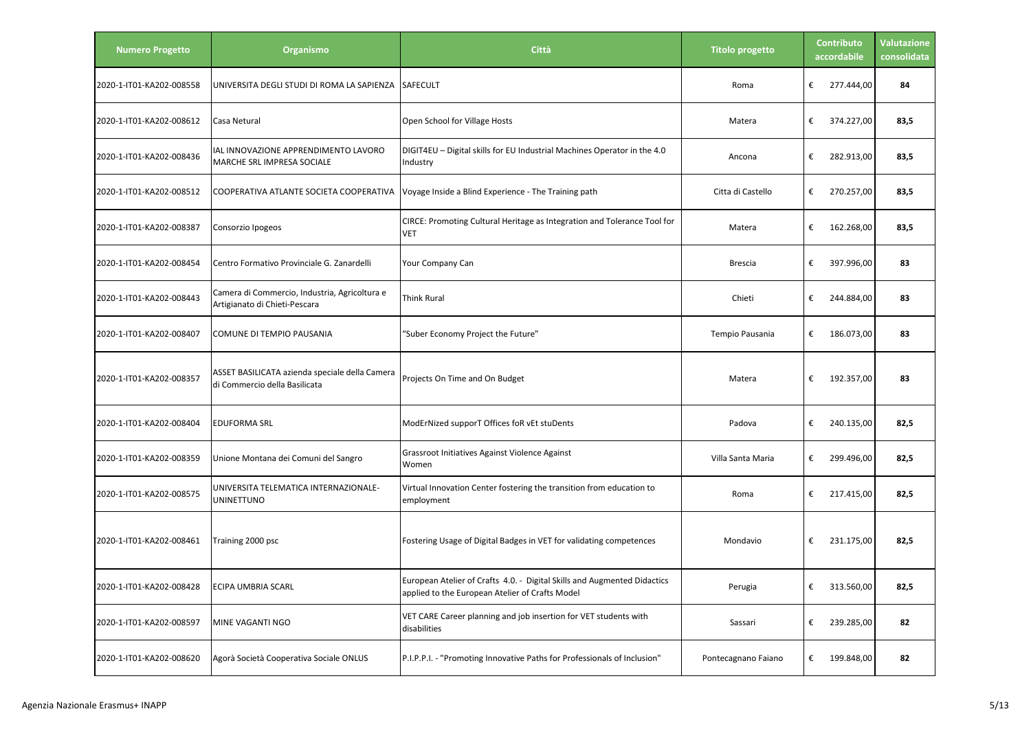| <b>Numero Progetto</b>   | Organismo                                                                       | Città                                                                                                                       | <b>Titolo progetto</b> | <b>Contributo</b><br>accordabile | <b>Valutazione</b><br>consolidata |
|--------------------------|---------------------------------------------------------------------------------|-----------------------------------------------------------------------------------------------------------------------------|------------------------|----------------------------------|-----------------------------------|
| 2020-1-IT01-KA202-008558 | UNIVERSITA DEGLI STUDI DI ROMA LA SAPIENZA                                      | SAFECULT                                                                                                                    | Roma                   | €<br>277.444,00                  | 84                                |
| 2020-1-IT01-KA202-008612 | Casa Netural                                                                    | Open School for Village Hosts                                                                                               | Matera                 | €<br>374.227,00                  | 83,5                              |
| 2020-1-IT01-KA202-008436 | AL INNOVAZIONE APPRENDIMENTO LAVORO<br>MARCHE SRL IMPRESA SOCIALE               | DIGIT4EU - Digital skills for EU Industrial Machines Operator in the 4.0<br>Industry                                        | Ancona                 | €<br>282.913,00                  | 83,5                              |
| 2020-1-IT01-KA202-008512 | COOPERATIVA ATLANTE SOCIETA COOPERATIVA                                         | Voyage Inside a Blind Experience - The Training path                                                                        | Citta di Castello      | €<br>270.257,00                  | 83,5                              |
| 2020-1-IT01-KA202-008387 | Consorzio Ipogeos                                                               | CIRCE: Promoting Cultural Heritage as Integration and Tolerance Tool for<br>VET                                             | Matera                 | €<br>162.268,00                  | 83,5                              |
| 2020-1-IT01-KA202-008454 | Centro Formativo Provinciale G. Zanardelli                                      | Your Company Can                                                                                                            | <b>Brescia</b>         | €<br>397.996,00                  | 83                                |
| 2020-1-IT01-KA202-008443 | Camera di Commercio, Industria, Agricoltura e<br>Artigianato di Chieti-Pescara  | Think Rural                                                                                                                 | Chieti                 | €<br>244.884,00                  | 83                                |
| 2020-1-IT01-KA202-008407 | COMUNE DI TEMPIO PAUSANIA                                                       | "Suber Economy Project the Future"                                                                                          | Tempio Pausania        | €<br>186.073,00                  | 83                                |
| 2020-1-IT01-KA202-008357 | ASSET BASILICATA azienda speciale della Camera<br>di Commercio della Basilicata | Projects On Time and On Budget                                                                                              | Matera                 | €<br>192.357,00                  | 83                                |
| 2020-1-IT01-KA202-008404 | <b>EDUFORMA SRL</b>                                                             | ModErNized supporT Offices foR vEt stuDents                                                                                 | Padova                 | €<br>240.135,00                  | 82,5                              |
| 2020-1-IT01-KA202-008359 | Unione Montana dei Comuni del Sangro                                            | Grassroot Initiatives Against Violence Against<br>Women                                                                     | Villa Santa Maria      | €<br>299.496,00                  | 82,5                              |
| 2020-1-IT01-KA202-008575 | UNIVERSITA TELEMATICA INTERNAZIONALE-<br>UNINETTUNO                             | Virtual Innovation Center fostering the transition from education to<br>employment                                          | Roma                   | €<br>217.415,00                  | 82,5                              |
| 2020-1-IT01-KA202-008461 | Training 2000 psc                                                               | Fostering Usage of Digital Badges in VET for validating competences                                                         | Mondavio               | €<br>231.175,00                  | 82,5                              |
| 2020-1-IT01-KA202-008428 | <b>ECIPA UMBRIA SCARL</b>                                                       | European Atelier of Crafts 4.0. - Digital Skills and Augmented Didactics<br>applied to the European Atelier of Crafts Model | Perugia                | €<br>313.560,00                  | 82,5                              |
| 2020-1-IT01-KA202-008597 | MINE VAGANTI NGO                                                                | VET CARE Career planning and job insertion for VET students with<br>disabilities                                            | Sassari                | €<br>239.285,00                  | 82                                |
| 2020-1-IT01-KA202-008620 | Agorà Società Cooperativa Sociale ONLUS                                         | P.I.P.P.I. - "Promoting Innovative Paths for Professionals of Inclusion"                                                    | Pontecagnano Faiano    | €<br>199.848,00                  | 82                                |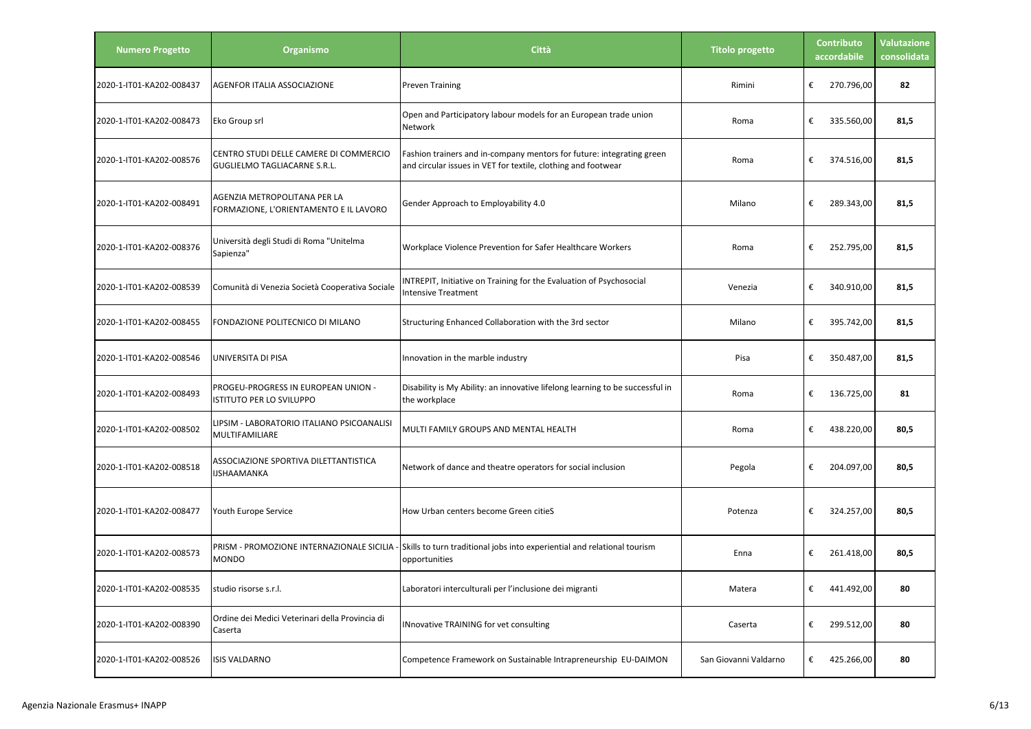| <b>Numero Progetto</b>   | Organismo                                                              | Città                                                                                                                                  | <b>Titolo progetto</b> | <b>Contributo</b><br>accordabile | <b>Valutazione</b><br>consolidata |
|--------------------------|------------------------------------------------------------------------|----------------------------------------------------------------------------------------------------------------------------------------|------------------------|----------------------------------|-----------------------------------|
| 2020-1-IT01-KA202-008437 | AGENFOR ITALIA ASSOCIAZIONE                                            | <b>Preven Training</b>                                                                                                                 | Rimini                 | €<br>270.796,00                  | 82                                |
| 2020-1-IT01-KA202-008473 | Eko Group srl                                                          | Open and Participatory labour models for an European trade union<br>Network                                                            | Roma                   | €<br>335.560,00                  | 81,5                              |
| 2020-1-IT01-KA202-008576 | CENTRO STUDI DELLE CAMERE DI COMMERCIO<br>GUGLIELMO TAGLIACARNE S.R.L. | Fashion trainers and in-company mentors for future: integrating green<br>and circular issues in VET for textile, clothing and footwear | Roma                   | €<br>374.516,00                  | 81,5                              |
| 2020-1-IT01-KA202-008491 | AGENZIA METROPOLITANA PER LA<br>FORMAZIONE, L'ORIENTAMENTO E IL LAVORO | Gender Approach to Employability 4.0                                                                                                   | Milano                 | €<br>289.343,00                  | 81,5                              |
| 2020-1-IT01-KA202-008376 | Università degli Studi di Roma "Unitelma<br>Sapienza"                  | Workplace Violence Prevention for Safer Healthcare Workers                                                                             | Roma                   | €<br>252.795,00                  | 81,5                              |
| 2020-1-IT01-KA202-008539 | Comunità di Venezia Società Cooperativa Sociale                        | INTREPIT, Initiative on Training for the Evaluation of Psychosocial<br><b>Intensive Treatment</b>                                      | Venezia                | €<br>340.910,00                  | 81,5                              |
| 2020-1-IT01-KA202-008455 | FONDAZIONE POLITECNICO DI MILANO                                       | Structuring Enhanced Collaboration with the 3rd sector                                                                                 | Milano                 | €<br>395.742,00                  | 81,5                              |
| 2020-1-IT01-KA202-008546 | UNIVERSITA DI PISA                                                     | Innovation in the marble industry                                                                                                      | Pisa                   | €<br>350.487,00                  | 81,5                              |
| 2020-1-IT01-KA202-008493 | PROGEU-PROGRESS IN EUROPEAN UNION -<br><b>ISTITUTO PER LO SVILUPPO</b> | Disability is My Ability: an innovative lifelong learning to be successful in<br>the workplace                                         | Roma                   | €<br>136.725,00                  | 81                                |
| 2020-1-IT01-KA202-008502 | LIPSIM - LABORATORIO ITALIANO PSICOANALISI<br>MULTIFAMILIARE           | MULTI FAMILY GROUPS AND MENTAL HEALTH                                                                                                  | Roma                   | €<br>438.220,00                  | 80,5                              |
| 2020-1-IT01-KA202-008518 | ASSOCIAZIONE SPORTIVA DILETTANTISTICA<br>IJSHAAMANKA                   | Network of dance and theatre operators for social inclusion                                                                            | Pegola                 | €<br>204.097,00                  | 80,5                              |
| 2020-1-IT01-KA202-008477 | Youth Europe Service                                                   | How Urban centers become Green citieS                                                                                                  | Potenza                | €<br>324.257,00                  | 80,5                              |
| 2020-1-IT01-KA202-008573 | PRISM - PROMOZIONE INTERNAZIONALE SICILIA<br><b>MONDO</b>              | Skills to turn traditional jobs into experiential and relational tourism<br>opportunities                                              | Enna                   | €<br>261.418,00                  | 80,5                              |
| 2020-1-IT01-KA202-008535 | studio risorse s.r.l.                                                  | Laboratori interculturali per l'inclusione dei migranti                                                                                | Matera                 | €<br>441.492,00                  | 80                                |
| 2020-1-IT01-KA202-008390 | Ordine dei Medici Veterinari della Provincia di<br>Caserta             | <b>INnovative TRAINING for vet consulting</b>                                                                                          | Caserta                | €<br>299.512,00                  | 80                                |
| 2020-1-IT01-KA202-008526 | ISIS VALDARNO                                                          | Competence Framework on Sustainable Intrapreneurship EU-DAIMON                                                                         | San Giovanni Valdarno  | €<br>425.266,00                  | 80                                |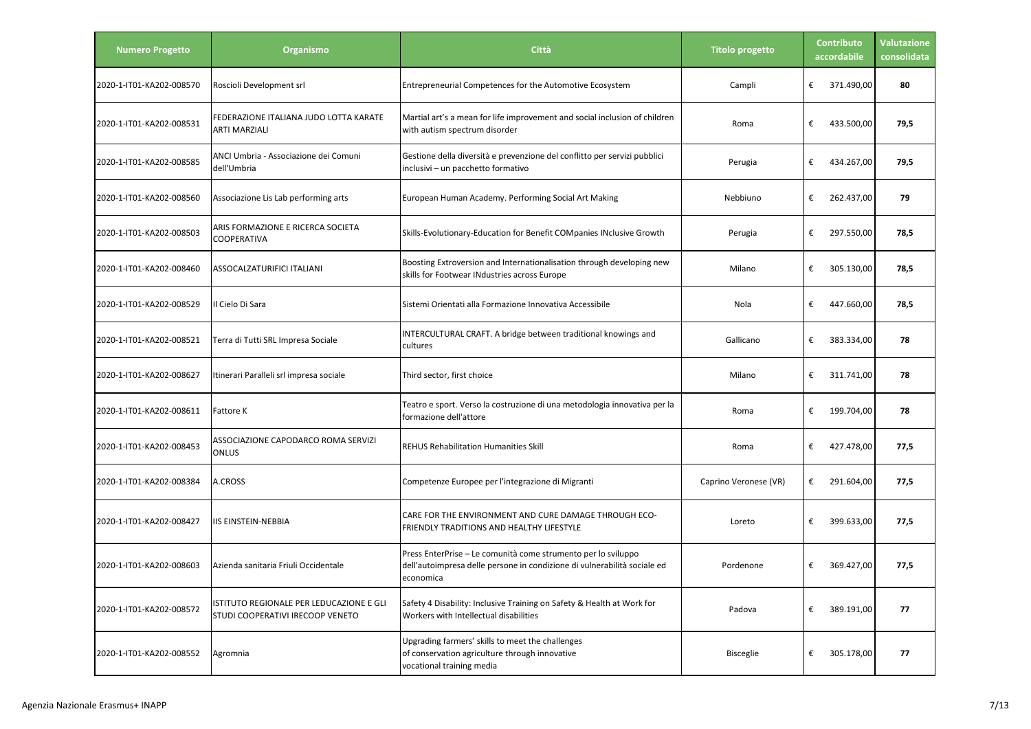| <b>Numero Progetto</b>   | Organismo                                                                    | Città                                                                                                                                                  | <b>Titolo progetto</b> | Contributo<br>accordabile | <b>Valutazione</b><br>consolidata |
|--------------------------|------------------------------------------------------------------------------|--------------------------------------------------------------------------------------------------------------------------------------------------------|------------------------|---------------------------|-----------------------------------|
| 2020-1-IT01-KA202-008570 | Roscioli Development srl                                                     | Entrepreneurial Competences for the Automotive Ecosystem                                                                                               | Campli                 | €<br>371.490,00           | 80                                |
| 2020-1-IT01-KA202-008531 | FEDERAZIONE ITALIANA JUDO LOTTA KARATE<br>ARTI MARZIALI                      | Martial art's a mean for life improvement and social inclusion of children<br>with autism spectrum disorder                                            | Roma                   | €<br>433.500,00           | 79,5                              |
| 2020-1-IT01-KA202-008585 | ANCI Umbria - Associazione dei Comuni<br>dell'Umbria                         | Gestione della diversità e prevenzione del conflitto per servizi pubblici<br>inclusivi – un pacchetto formativo                                        | Perugia                | €<br>434.267,00           | 79,5                              |
| 2020-1-IT01-KA202-008560 | Associazione Lis Lab performing arts                                         | European Human Academy. Performing Social Art Making                                                                                                   | Nebbiuno               | €<br>262.437,00           | 79                                |
| 2020-1-IT01-KA202-008503 | ARIS FORMAZIONE E RICERCA SOCIETA<br>COOPERATIVA                             | Skills-Evolutionary-Education for Benefit COMpanies INclusive Growth                                                                                   | Perugia                | €<br>297.550,00           | 78,5                              |
| 2020-1-IT01-KA202-008460 | ASSOCALZATURIFICI ITALIANI                                                   | Boosting Extroversion and Internationalisation through developing new<br>skills for Footwear INdustries across Europe                                  | Milano                 | €<br>305.130,00           | 78,5                              |
| 2020-1-IT01-KA202-008529 | Il Cielo Di Sara                                                             | Sistemi Orientati alla Formazione Innovativa Accessibile                                                                                               | Nola                   | €<br>447.660,00           | 78,5                              |
| 2020-1-IT01-KA202-008521 | Terra di Tutti SRL Impresa Sociale                                           | INTERCULTURAL CRAFT. A bridge between traditional knowings and<br>cultures                                                                             | Gallicano              | €<br>383.334,00           | 78                                |
| 2020-1-IT01-KA202-008627 | Itinerari Paralleli srl impresa sociale                                      | Third sector, first choice                                                                                                                             | Milano                 | €<br>311.741,00           | 78                                |
| 2020-1-IT01-KA202-008611 | Fattore K                                                                    | Teatro e sport. Verso la costruzione di una metodologia innovativa per la<br>formazione dell'attore                                                    | Roma                   | €<br>199.704,00           | 78                                |
| 2020-1-IT01-KA202-008453 | ASSOCIAZIONE CAPODARCO ROMA SERVIZI<br>ONLUS                                 | <b>REHUS Rehabilitation Humanities Skill</b>                                                                                                           | Roma                   | €<br>427.478,00           | 77,5                              |
| 2020-1-IT01-KA202-008384 | A.CROSS                                                                      | Competenze Europee per l'integrazione di Migranti                                                                                                      | Caprino Veronese (VR)  | €<br>291.604,00           | 77,5                              |
| 2020-1-IT01-KA202-008427 | IIS EINSTEIN-NEBBIA                                                          | CARE FOR THE ENVIRONMENT AND CURE DAMAGE THROUGH ECO-<br>FRIENDLY TRADITIONS AND HEALTHY LIFESTYLE                                                     | Loreto                 | €<br>399.633,00           | 77,5                              |
| 2020-1-IT01-KA202-008603 | Azienda sanitaria Friuli Occidentale                                         | Press EnterPrise – Le comunità come strumento per lo sviluppo<br>dell'autoimpresa delle persone in condizione di vulnerabilità sociale ed<br>economica | Pordenone              | €<br>369.427,00           | 77,5                              |
| 2020-1-IT01-KA202-008572 | ISTITUTO REGIONALE PER LEDUCAZIONE E GLI<br>STUDI COOPERATIVI IRECOOP VENETO | Safety 4 Disability: Inclusive Training on Safety & Health at Work for<br>Workers with Intellectual disabilities                                       | Padova                 | €<br>389.191,00           | 77                                |
| 2020-1-IT01-KA202-008552 | Agromnia                                                                     | Upgrading farmers' skills to meet the challenges<br>of conservation agriculture through innovative<br>vocational training media                        | <b>Bisceglie</b>       | €<br>305.178,00           | 77                                |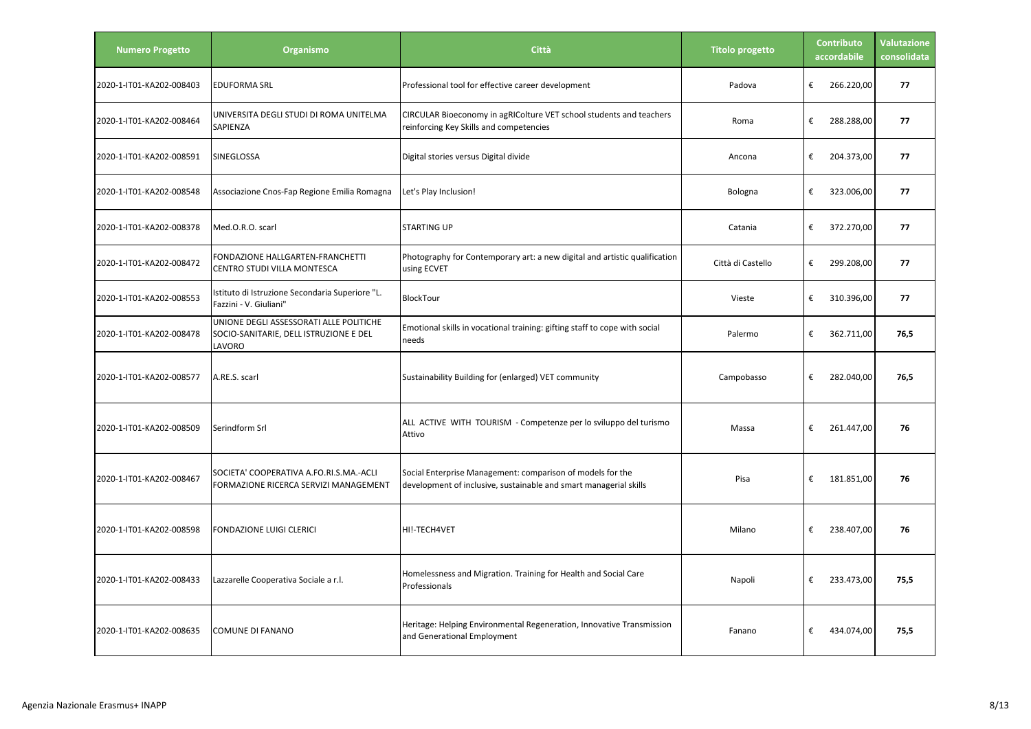| <b>Numero Progetto</b>   | Organismo                                                                                   | Città                                                                                                                           | <b>Titolo progetto</b> | <b>Contributo</b><br>accordabile | <b>Valutazione</b><br>consolidata |
|--------------------------|---------------------------------------------------------------------------------------------|---------------------------------------------------------------------------------------------------------------------------------|------------------------|----------------------------------|-----------------------------------|
| 2020-1-IT01-KA202-008403 | <b>EDUFORMA SRL</b>                                                                         | Professional tool for effective career development                                                                              | Padova                 | €<br>266.220,00                  | 77                                |
| 2020-1-IT01-KA202-008464 | UNIVERSITA DEGLI STUDI DI ROMA UNITELMA<br>SAPIENZA                                         | CIRCULAR Bioeconomy in agRIColture VET school students and teachers<br>reinforcing Key Skills and competencies                  | Roma                   | €<br>288.288,00                  | 77                                |
| 2020-1-IT01-KA202-008591 | SINEGLOSSA                                                                                  | Digital stories versus Digital divide                                                                                           | Ancona                 | €<br>204.373,00                  | 77                                |
| 2020-1-IT01-KA202-008548 | Associazione Cnos-Fap Regione Emilia Romagna                                                | Let's Play Inclusion!                                                                                                           | Bologna                | €<br>323.006,00                  | 77                                |
| 2020-1-IT01-KA202-008378 | Med.O.R.O. scarl                                                                            | <b>STARTING UP</b>                                                                                                              | Catania                | €<br>372.270,00                  | 77                                |
| 2020-1-IT01-KA202-008472 | FONDAZIONE HALLGARTEN-FRANCHETTI<br>CENTRO STUDI VILLA MONTESCA                             | Photography for Contemporary art: a new digital and artistic qualification<br>using ECVET                                       | Città di Castello      | €<br>299.208,00                  | 77                                |
| 2020-1-IT01-KA202-008553 | Istituto di Istruzione Secondaria Superiore "L.<br>Fazzini - V. Giuliani"                   | BlockTour                                                                                                                       | Vieste                 | €<br>310.396,00                  | 77                                |
| 2020-1-IT01-KA202-008478 | UNIONE DEGLI ASSESSORATI ALLE POLITICHE<br>SOCIO-SANITARIE, DELL ISTRUZIONE E DEL<br>LAVORO | Emotional skills in vocational training: gifting staff to cope with social<br>needs                                             | Palermo                | €<br>362.711,00                  | 76,5                              |
| 2020-1-IT01-KA202-008577 | A.RE.S. scarl                                                                               | Sustainability Building for (enlarged) VET community                                                                            | Campobasso             | €<br>282.040,00                  | 76,5                              |
| 2020-1-IT01-KA202-008509 | Serindform Srl                                                                              | ALL ACTIVE WITH TOURISM - Competenze per lo sviluppo del turismo<br>Attivo                                                      | Massa                  | €<br>261.447,00                  | 76                                |
| 2020-1-IT01-KA202-008467 | SOCIETA' COOPERATIVA A.FO.RI.S.MA.-ACLI<br>FORMAZIONE RICERCA SERVIZI MANAGEMENT            | Social Enterprise Management: comparison of models for the<br>development of inclusive, sustainable and smart managerial skills | Pisa                   | €<br>181.851,00                  | 76                                |
| 2020-1-IT01-KA202-008598 | FONDAZIONE LUIGI CLERICI                                                                    | HI!-TECH4VET                                                                                                                    | Milano                 | €<br>238.407,00                  | 76                                |
| 2020-1-IT01-KA202-008433 | Lazzarelle Cooperativa Sociale a r.l.                                                       | Homelessness and Migration. Training for Health and Social Care<br>Professionals                                                | Napoli                 | €<br>233.473,00                  | 75,5                              |
| 2020-1-IT01-KA202-008635 | COMUNE DI FANANO                                                                            | Heritage: Helping Environmental Regeneration, Innovative Transmission<br>and Generational Employment                            | Fanano                 | €<br>434.074,00                  | 75,5                              |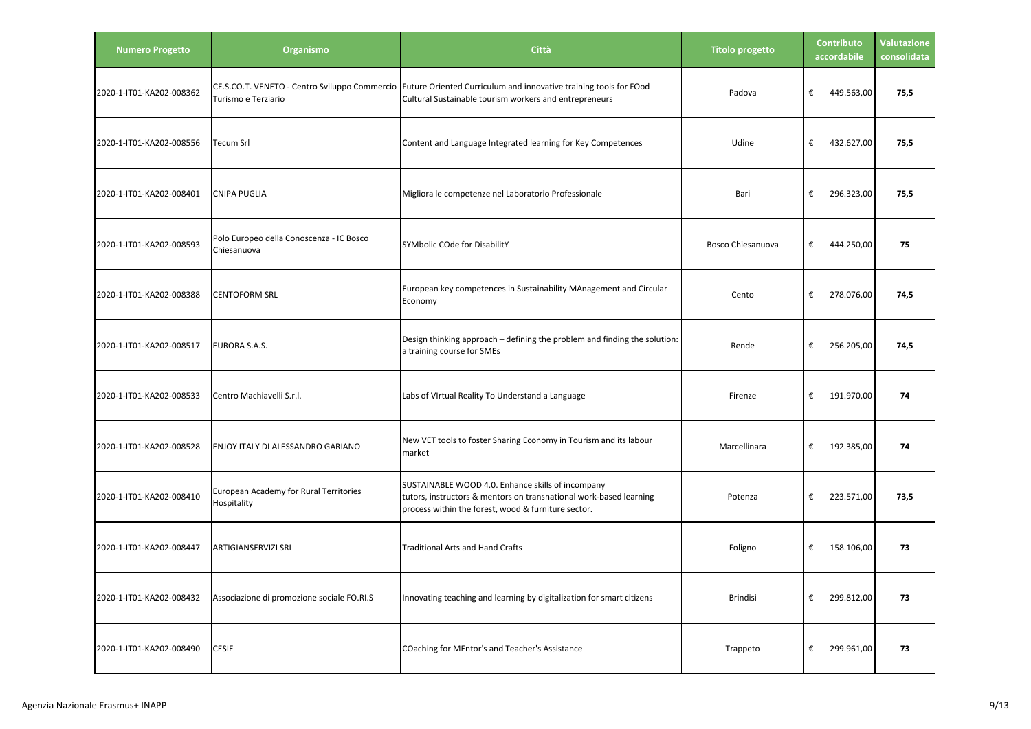| <b>Numero Progetto</b>   | Organismo                                                            | Città                                                                                                                                                                          | <b>Titolo progetto</b>   | Contributo<br>accordabile | <b>Valutazione</b><br>consolidata |
|--------------------------|----------------------------------------------------------------------|--------------------------------------------------------------------------------------------------------------------------------------------------------------------------------|--------------------------|---------------------------|-----------------------------------|
| 2020-1-IT01-KA202-008362 | CE.S.CO.T. VENETO - Centro Sviluppo Commercio<br>Turismo e Terziario | Future Oriented Curriculum and innovative training tools for FOod<br>Cultural Sustainable tourism workers and entrepreneurs                                                    | Padova                   | €<br>449.563,00           | 75,5                              |
| 2020-1-IT01-KA202-008556 | Tecum Srl                                                            | Content and Language Integrated learning for Key Competences                                                                                                                   | Udine                    | €<br>432.627,00           | 75,5                              |
| 2020-1-IT01-KA202-008401 | <b>CNIPA PUGLIA</b>                                                  | Migliora le competenze nel Laboratorio Professionale                                                                                                                           | Bari                     | €<br>296.323,00           | 75,5                              |
| 2020-1-IT01-KA202-008593 | Polo Europeo della Conoscenza - IC Bosco<br>Chiesanuova              | SYMbolic COde for DisabilitY                                                                                                                                                   | <b>Bosco Chiesanuova</b> | €<br>444.250,00           | 75                                |
| 2020-1-IT01-KA202-008388 | <b>CENTOFORM SRL</b>                                                 | European key competences in Sustainability MAnagement and Circular<br>Economy                                                                                                  | Cento                    | €<br>278.076,00           | 74,5                              |
| 2020-1-IT01-KA202-008517 | EURORA S.A.S.                                                        | Design thinking approach - defining the problem and finding the solution:<br>a training course for SMEs                                                                        | Rende                    | €<br>256.205,00           | 74,5                              |
| 2020-1-IT01-KA202-008533 | Centro Machiavelli S.r.l.                                            | Labs of VIrtual Reality To Understand a Language                                                                                                                               | Firenze                  | €<br>191.970,00           | 74                                |
| 2020-1-IT01-KA202-008528 | ENJOY ITALY DI ALESSANDRO GARIANO                                    | New VET tools to foster Sharing Economy in Tourism and its labour<br>market                                                                                                    | Marcellinara             | €<br>192.385,00           | 74                                |
| 2020-1-IT01-KA202-008410 | European Academy for Rural Territories<br>Hospitality                | SUSTAINABLE WOOD 4.0. Enhance skills of incompany<br>tutors, instructors & mentors on transnational work-based learning<br>process within the forest, wood & furniture sector. | Potenza                  | €<br>223.571,00           | 73,5                              |
| 2020-1-IT01-KA202-008447 | ARTIGIANSERVIZI SRL                                                  | <b>Traditional Arts and Hand Crafts</b>                                                                                                                                        | Foligno                  | €<br>158.106,00           | 73                                |
| 2020-1-IT01-KA202-008432 | Associazione di promozione sociale FO.RI.S                           | Innovating teaching and learning by digitalization for smart citizens                                                                                                          | <b>Brindisi</b>          | 299.812,00<br>€           | 73                                |
| 2020-1-IT01-KA202-008490 | <b>CESIE</b>                                                         | COaching for MEntor's and Teacher's Assistance                                                                                                                                 | Trappeto                 | 299.961,00<br>€           | 73                                |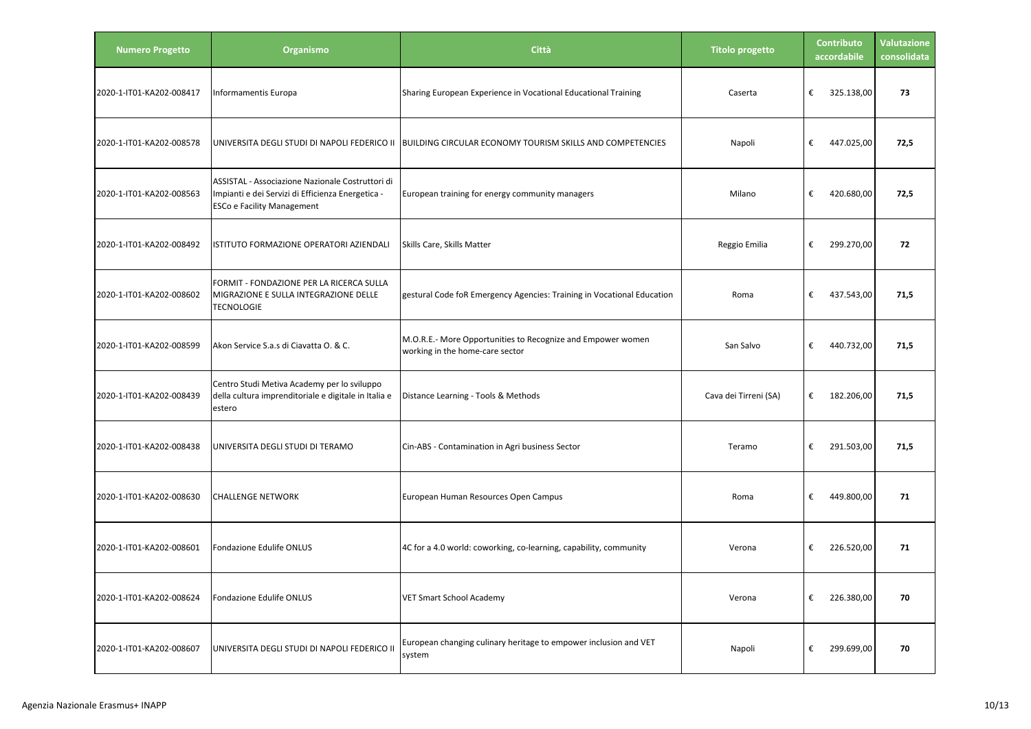| <b>Numero Progetto</b>   | Organismo                                                                                                                                  | Città                                                                                          | <b>Titolo progetto</b> | <b>Contributo</b><br>accordabile | <b>Valutazione</b><br>consolidata |
|--------------------------|--------------------------------------------------------------------------------------------------------------------------------------------|------------------------------------------------------------------------------------------------|------------------------|----------------------------------|-----------------------------------|
| 2020-1-IT01-KA202-008417 | Informamentis Europa                                                                                                                       | Sharing European Experience in Vocational Educational Training                                 | Caserta                | €<br>325.138,00                  | 73                                |
| 2020-1-IT01-KA202-008578 | UNIVERSITA DEGLI STUDI DI NAPOLI FEDERICO II                                                                                               | <b>BUILDING CIRCULAR ECONOMY TOURISM SKILLS AND COMPETENCIES</b>                               | Napoli                 | €<br>447.025,00                  | 72,5                              |
| 2020-1-IT01-KA202-008563 | ASSISTAL - Associazione Nazionale Costruttori di<br>Impianti e dei Servizi di Efficienza Energetica -<br><b>ESCo e Facility Management</b> | European training for energy community managers                                                | Milano                 | €<br>420.680,00                  | 72,5                              |
| 2020-1-IT01-KA202-008492 | ISTITUTO FORMAZIONE OPERATORI AZIENDALI                                                                                                    | Skills Care, Skills Matter                                                                     | Reggio Emilia          | €<br>299.270,00                  | 72                                |
| 2020-1-IT01-KA202-008602 | FORMIT - FONDAZIONE PER LA RICERCA SULLA<br>MIGRAZIONE E SULLA INTEGRAZIONE DELLE<br><b>TECNOLOGIE</b>                                     | gestural Code foR Emergency Agencies: Training in Vocational Education                         | Roma                   | €<br>437.543,00                  | 71,5                              |
| 2020-1-IT01-KA202-008599 | Akon Service S.a.s di Ciavatta O. & C.                                                                                                     | M.O.R.E.- More Opportunities to Recognize and Empower women<br>working in the home-care sector | San Salvo              | €<br>440.732,00                  | 71,5                              |
| 2020-1-IT01-KA202-008439 | Centro Studi Metiva Academy per lo sviluppo<br>della cultura imprenditoriale e digitale in Italia e<br>estero                              | Distance Learning - Tools & Methods                                                            | Cava dei Tirreni (SA)  | €<br>182.206,00                  | 71,5                              |
| 2020-1-IT01-KA202-008438 | UNIVERSITA DEGLI STUDI DI TERAMO                                                                                                           | Cin-ABS - Contamination in Agri business Sector                                                | Teramo                 | €<br>291.503,00                  | 71,5                              |
| 2020-1-IT01-KA202-008630 | <b>CHALLENGE NETWORK</b>                                                                                                                   | European Human Resources Open Campus                                                           | Roma                   | €<br>449.800,00                  | 71                                |
| 2020-1-IT01-KA202-008601 | Fondazione Edulife ONLUS                                                                                                                   | 4C for a 4.0 world: coworking, co-learning, capability, community                              | Verona                 | €<br>226.520,00                  | 71                                |
| 2020-1-IT01-KA202-008624 | Fondazione Edulife ONLUS                                                                                                                   | <b>VET Smart School Academy</b>                                                                | Verona                 | €<br>226.380,00                  | 70                                |
| 2020-1-IT01-KA202-008607 | UNIVERSITA DEGLI STUDI DI NAPOLI FEDERICO II                                                                                               | European changing culinary heritage to empower inclusion and VET<br>system                     | Napoli                 | 299.699,00<br>€                  | 70                                |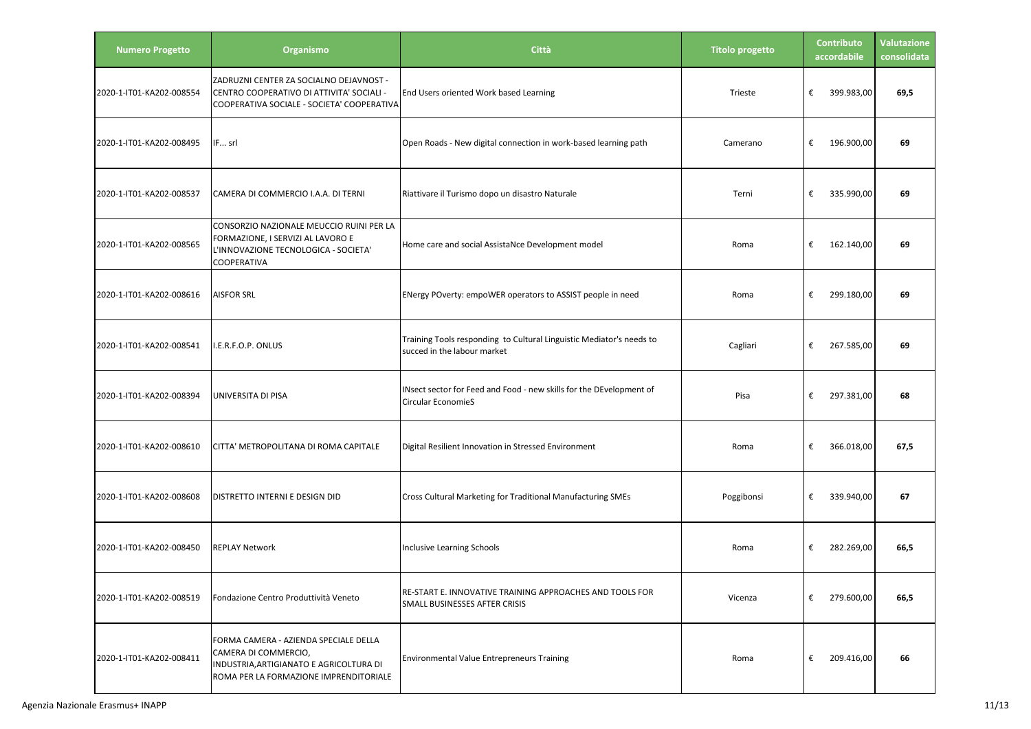| <b>Numero Progetto</b>   | Organismo                                                                                                                                          | Città                                                                                               | <b>Titolo progetto</b> | Contributo<br>accordabile | <b>Valutazione</b><br>consolidata |
|--------------------------|----------------------------------------------------------------------------------------------------------------------------------------------------|-----------------------------------------------------------------------------------------------------|------------------------|---------------------------|-----------------------------------|
| 2020-1-IT01-KA202-008554 | ZADRUZNI CENTER ZA SOCIALNO DEJAVNOST -<br>CENTRO COOPERATIVO DI ATTIVITA' SOCIALI -<br>COOPERATIVA SOCIALE - SOCIETA' COOPERATIVA                 | End Users oriented Work based Learning                                                              | Trieste                | €<br>399.983,00           | 69,5                              |
| 2020-1-IT01-KA202-008495 | IF srl                                                                                                                                             | Open Roads - New digital connection in work-based learning path                                     | Camerano               | €<br>196.900,00           | 69                                |
| 2020-1-IT01-KA202-008537 | CAMERA DI COMMERCIO I.A.A. DI TERNI                                                                                                                | Riattivare il Turismo dopo un disastro Naturale                                                     | Terni                  | €<br>335.990,00           | 69                                |
| 2020-1-IT01-KA202-008565 | CONSORZIO NAZIONALE MEUCCIO RUINI PER LA<br>FORMAZIONE, I SERVIZI AL LAVORO E<br>L'INNOVAZIONE TECNOLOGICA - SOCIETA'<br>COOPERATIVA               | Home care and social AssistaNce Development model                                                   | Roma                   | €<br>162.140,00           | 69                                |
| 2020-1-IT01-KA202-008616 | <b>AISFOR SRL</b>                                                                                                                                  | ENergy POverty: empoWER operators to ASSIST people in need                                          | Roma                   | €<br>299.180,00           | 69                                |
| 2020-1-IT01-KA202-008541 | I.E.R.F.O.P. ONLUS                                                                                                                                 | Training Tools responding to Cultural Linguistic Mediator's needs to<br>succed in the labour market | Cagliari               | €<br>267.585,00           | 69                                |
| 2020-1-IT01-KA202-008394 | UNIVERSITA DI PISA                                                                                                                                 | INsect sector for Feed and Food - new skills for the DEvelopment of<br><b>Circular EconomieS</b>    | Pisa                   | €<br>297.381,00           | 68                                |
| 2020-1-IT01-KA202-008610 | CITTA' METROPOLITANA DI ROMA CAPITALE                                                                                                              | Digital Resilient Innovation in Stressed Environment                                                | Roma                   | €<br>366.018,00           | 67,5                              |
| 2020-1-IT01-KA202-008608 | DISTRETTO INTERNI E DESIGN DID                                                                                                                     | Cross Cultural Marketing for Traditional Manufacturing SMEs                                         | Poggibonsi             | €<br>339.940,00           | 67                                |
| 2020-1-IT01-KA202-008450 | <b>REPLAY Network</b>                                                                                                                              | <b>Inclusive Learning Schools</b>                                                                   | Roma                   | €<br>282.269,00           | 66,5                              |
| 2020-1-IT01-KA202-008519 | Fondazione Centro Produttività Veneto                                                                                                              | RE-START E. INNOVATIVE TRAINING APPROACHES AND TOOLS FOR<br>SMALL BUSINESSES AFTER CRISIS           | Vicenza                | €<br>279.600,00           | 66,5                              |
| 2020-1-IT01-KA202-008411 | FORMA CAMERA - AZIENDA SPECIALE DELLA<br>CAMERA DI COMMERCIO,<br>INDUSTRIA, ARTIGIANATO E AGRICOLTURA DI<br>ROMA PER LA FORMAZIONE IMPRENDITORIALE | <b>Environmental Value Entrepreneurs Training</b>                                                   | Roma                   | €<br>209.416,00           | 66                                |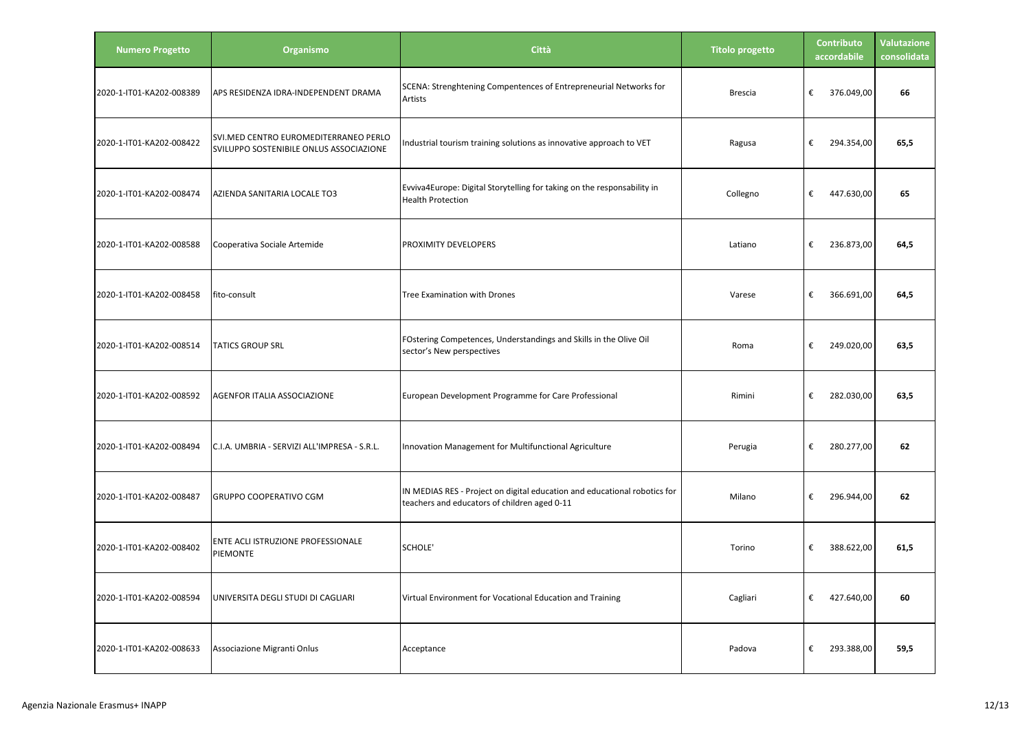| <b>Numero Progetto</b>   | Organismo                                                                        | <b>Città</b>                                                                                                              | <b>Titolo progetto</b> | <b>Contributo</b><br>accordabile | Valutazione<br>consolidata |
|--------------------------|----------------------------------------------------------------------------------|---------------------------------------------------------------------------------------------------------------------------|------------------------|----------------------------------|----------------------------|
| 2020-1-IT01-KA202-008389 | APS RESIDENZA IDRA-INDEPENDENT DRAMA                                             | SCENA: Strenghtening Compentences of Entrepreneurial Networks for<br>Artists                                              | <b>Brescia</b>         | €<br>376.049,00                  | 66                         |
| 2020-1-IT01-KA202-008422 | SVI.MED CENTRO EUROMEDITERRANEO PERLO<br>SVILUPPO SOSTENIBILE ONLUS ASSOCIAZIONE | Industrial tourism training solutions as innovative approach to VET                                                       | Ragusa                 | €<br>294.354,00                  | 65,5                       |
| 2020-1-IT01-KA202-008474 | AZIENDA SANITARIA LOCALE TO3                                                     | Evviva4Europe: Digital Storytelling for taking on the responsability in<br><b>Health Protection</b>                       | Collegno               | €<br>447.630,00                  | 65                         |
| 2020-1-IT01-KA202-008588 | Cooperativa Sociale Artemide                                                     | PROXIMITY DEVELOPERS                                                                                                      | Latiano                | €<br>236.873,00                  | 64,5                       |
| 2020-1-IT01-KA202-008458 | fito-consult                                                                     | Tree Examination with Drones                                                                                              | Varese                 | €<br>366.691,00                  | 64,5                       |
| 2020-1-IT01-KA202-008514 | <b>TATICS GROUP SRL</b>                                                          | FOstering Competences, Understandings and Skills in the Olive Oil<br>sector's New perspectives                            | Roma                   | €<br>249.020,00                  | 63,5                       |
| 2020-1-IT01-KA202-008592 | AGENFOR ITALIA ASSOCIAZIONE                                                      | European Development Programme for Care Professional                                                                      | Rimini                 | €<br>282.030,00                  | 63,5                       |
| 2020-1-IT01-KA202-008494 | C.I.A. UMBRIA - SERVIZI ALL'IMPRESA - S.R.L.                                     | Innovation Management for Multifunctional Agriculture                                                                     | Perugia                | €<br>280.277,00                  | 62                         |
| 2020-1-IT01-KA202-008487 | <b>GRUPPO COOPERATIVO CGM</b>                                                    | IN MEDIAS RES - Project on digital education and educational robotics for<br>teachers and educators of children aged 0-11 | Milano                 | €<br>296.944,00                  | 62                         |
| 2020-1-IT01-KA202-008402 | ENTE ACLI ISTRUZIONE PROFESSIONALE<br>PIEMONTE                                   | SCHOLE'                                                                                                                   | Torino                 | €<br>388.622,00                  | 61,5                       |
| 2020-1-IT01-KA202-008594 | UNIVERSITA DEGLI STUDI DI CAGLIARI                                               | Virtual Environment for Vocational Education and Training                                                                 | Cagliari               | €<br>427.640,00                  | 60                         |
| 2020-1-IT01-KA202-008633 | Associazione Migranti Onlus                                                      | Acceptance                                                                                                                | Padova                 | €<br>293.388,00                  | 59,5                       |